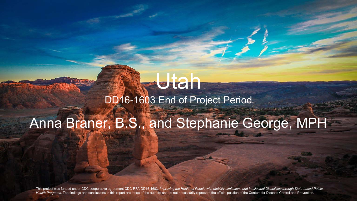#### **Utah** DD16-1603 End of Project Period

## Anna Braner, B.S., and Stephanie George, MPH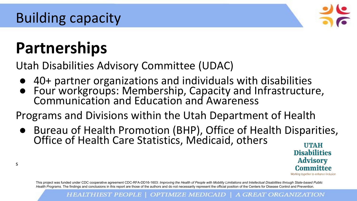

# **Partnerships**

s

Utah Disabilities Advisory Committee (UDAC)

- 40+ partner organizations and individuals with disabilities
- Four workgroups: Membership, Capacity and Infrastructure, Communication and Education and Awareness

Programs and Divisions within the Utah Department of Health

● Bureau of Health Promotion (BHP), Office of Health Disparities, Office of Health Care Statistics, Medicaid, others **UTAH** 

**Disabilities Advisory** Committee

Working together to enhance inclusion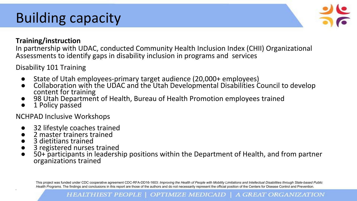### Building capacity



#### **Training/instruction**

In partnership with UDAC, conducted Community Health Inclusion Index (CHII) Organizational Assessments to identify gaps in disability inclusion in programs and services

Disability 101 Training

- State of Utah employees-primary target audience (20,000+ employees)
- Collaboration with the UDAC and the Utah Developmental Disabilities Council to develop content for training
- 98 Utah Department of Health, Bureau of Health Promotion employees trained
- 1 Policy passed

NCHPAD Inclusive Workshops

- 32 lifestyle coaches trained
- 2 master trainers trained
- 3 dietitians trained

s

- 3 registered nurses trained
- 50+ participants in leadership positions within the Department of Health, and from partner organizations trained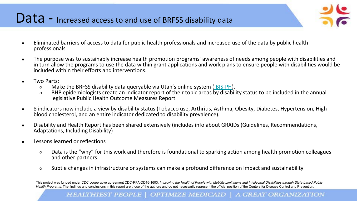#### Data - Increased access to and use of BRFSS disability data

- 
- Eliminated barriers of access to data for public health professionals and increased use of the data by public health professionals
- The purpose was to sustainably increase health promotion programs' awareness of needs among people with disabilities and in turn allow the programs to use the data within grant applications and work plans to ensure people with disabilities would be included within their efforts and interventions.
- Two Parts:
	- Make the BRFSS disability data queryable via Utah's online system ([IBIS-PH](https://ibis.health.utah.gov/ibisph-view/)).
	- BHP epidemiologists create an indicator report of their topic areas by disability status to be included in the annual legislative Public Health Outcome Measures Report.
- 8 indicators now include a view by disability status (Tobacco use, Arthritis, Asthma, Obesity, Diabetes, Hypertension, High blood cholesterol, and an entire indicator dedicated to disability prevalence).
- Disability and Health Report has been shared extensively (includes info about GRAIDs (Guidelines, Recommendations, Adaptations, Including Disability)
- Lessons learned or reflections
	- Data is the "why" for this work and therefore is foundational to sparking action among health promotion colleagues and other partners.
	- Subtle changes in infrastructure or systems can make a profound difference on impact and sustainability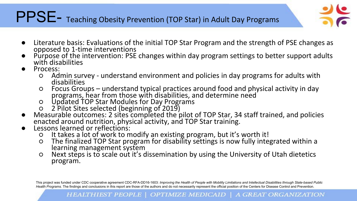#### PPSE- Teaching Obesity Prevention (TOP Star) in Adult Day Programs



- Literature basis: Evaluations of the initial TOP Star Program and the strength of PSE changes as opposed to 1-time interventions
- Purpose of the intervention: PSE changes within day program settings to better support adults with disabilities
- Process:
	- Admin survey understand environment and policies in day programs for adults with disabilities
	- Focus Groups understand typical practices around food and physical activity in day programs, hear from those with disabilities, and determine need
	- Updated TOP Star Modules for Day Programs
	- 2 Pilot Sites selected (beginning of 2019)
- Measurable outcomes: 2 sites completed the pilot of TOP Star, 34 staff trained, and policies enacted around nutrition, physical activity, and TOP Star training.
- Lessons learned or reflections:
	- It takes a lot of work to modify an existing program, but it's worth it!
	- The finalized TOP Star program for disability settings is now fully integrated within a learning management system
	- Next steps is to scale out it's dissemination by using the University of Utah dietetics program.